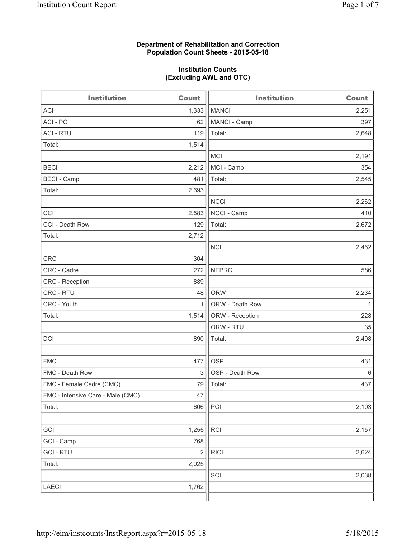# **Department of Rehabilitation and Correction Population Count Sheets - 2015-05-18**

# **Institution Counts (Excluding AWL and OTC)**

| <b>Institution</b>                | <b>Count</b>            | <b>Institution</b> | <b>Count</b> |
|-----------------------------------|-------------------------|--------------------|--------------|
| <b>ACI</b>                        | 1,333                   | <b>MANCI</b>       | 2,251        |
| ACI - PC                          | 62                      | MANCI - Camp       | 397          |
| <b>ACI - RTU</b>                  | 119                     | Total:             | 2,648        |
| Total:                            | 1,514                   |                    |              |
|                                   |                         | MCI                | 2,191        |
| <b>BECI</b>                       | 2,212                   | MCI - Camp         | 354          |
| <b>BECI</b> - Camp                | 481                     | Total:             | 2,545        |
| Total:                            | 2,693                   |                    |              |
|                                   |                         | <b>NCCI</b>        | 2,262        |
| CCI                               | 2,583                   | NCCI - Camp        | 410          |
| CCI - Death Row                   | 129                     | Total:             | 2,672        |
| Total:                            | 2,712                   |                    |              |
|                                   |                         | <b>NCI</b>         | 2,462        |
| <b>CRC</b>                        | 304                     |                    |              |
| CRC - Cadre                       | 272                     | <b>NEPRC</b>       | 586          |
| CRC - Reception                   | 889                     |                    |              |
| CRC - RTU                         | 48                      | <b>ORW</b>         | 2,234        |
| CRC - Youth                       | $\mathbf{1}$            | ORW - Death Row    | $\mathbf{1}$ |
| Total:                            | 1,514                   | ORW - Reception    | 228          |
|                                   |                         | ORW - RTU          | 35           |
| <b>DCI</b>                        | 890                     | Total:             | 2,498        |
|                                   |                         |                    |              |
| <b>FMC</b>                        | 477                     | <b>OSP</b>         | 431          |
| FMC - Death Row                   | 3                       | OSP - Death Row    | 6            |
| FMC - Female Cadre (CMC)          | 79                      | Total:             | 437          |
| FMC - Intensive Care - Male (CMC) | 47                      |                    |              |
| Total:                            | 606                     | PCI                | 2,103        |
|                                   |                         |                    |              |
| GCI                               | 1,255                   | RCI                | 2,157        |
| GCI - Camp                        | 768                     |                    |              |
| <b>GCI - RTU</b>                  | $\overline{\mathbf{c}}$ | <b>RICI</b>        | 2,624        |
| Total:                            | 2,025                   |                    |              |
|                                   |                         | SCI                | 2,038        |
| <b>LAECI</b>                      | 1,762                   |                    |              |
|                                   |                         |                    |              |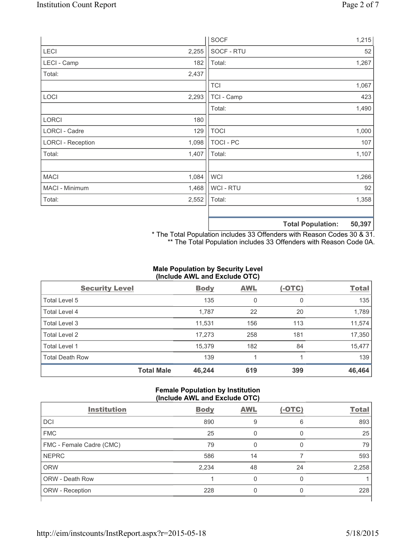|                          |       | <b>SOCF</b> | 1,215                              |
|--------------------------|-------|-------------|------------------------------------|
| LECI                     | 2,255 | SOCF - RTU  | 52                                 |
| LECI - Camp              | 182   | Total:      | 1,267                              |
| Total:                   | 2,437 |             |                                    |
|                          |       | <b>TCI</b>  | 1,067                              |
| LOCI                     | 2,293 | TCI - Camp  | 423                                |
|                          |       | Total:      | 1,490                              |
| <b>LORCI</b>             | 180   |             |                                    |
| LORCI - Cadre            | 129   | <b>TOCI</b> | 1,000                              |
| <b>LORCI - Reception</b> | 1,098 | TOCI - PC   | 107                                |
| Total:                   | 1,407 | Total:      | 1,107                              |
|                          |       |             |                                    |
| <b>MACI</b>              | 1,084 | <b>WCI</b>  | 1,266                              |
| MACI - Minimum           | 1,468 | WCI - RTU   | 92                                 |
| Total:                   | 2,552 | Total:      | 1,358                              |
|                          |       |             |                                    |
|                          |       |             | <b>EO 207</b><br>Total Dopulation: |

**Total Population: 50,397**

\* The Total Population includes 33 Offenders with Reason Codes 30 & 31. \*\* The Total Population includes 33 Offenders with Reason Code 0A.

# **Male Population by Security Level (Include AWL and Exclude OTC)**

| <b>Security Level</b>  |                   | <b>Body</b> | <b>AWL</b> | $(-OTC)$ | <b>Total</b> |
|------------------------|-------------------|-------------|------------|----------|--------------|
| Total Level 5          |                   | 135         | 0          | 0        | 135          |
| <b>Total Level 4</b>   |                   | 1,787       | 22         | 20       | 1,789        |
| Total Level 3          |                   | 11,531      | 156        | 113      | 11,574       |
| Total Level 2          |                   | 17,273      | 258        | 181      | 17,350       |
| <b>Total Level 1</b>   |                   | 15,379      | 182        | 84       | 15,477       |
| <b>Total Death Row</b> |                   | 139         | 1          |          | 139          |
|                        | <b>Total Male</b> | 46,244      | 619        | 399      | 46,464       |

### **Female Population by Institution (Include AWL and Exclude OTC)**

| <b>Institution</b>       | <b>Body</b> | <b>AWL</b> | (-OTC) | <b>Total</b> |
|--------------------------|-------------|------------|--------|--------------|
| DCI                      | 890         | 9          | 6      | 893          |
| <b>FMC</b>               | 25          | 0          | 0      | 25           |
| FMC - Female Cadre (CMC) | 79          | O          | 0      | 79           |
| <b>NEPRC</b>             | 586         | 14         |        | 593          |
| <b>ORW</b>               | 2,234       | 48         | 24     | 2,258        |
| <b>ORW - Death Row</b>   |             |            | 0      |              |
| ORW - Reception          | 228         |            | 0      | 228          |
|                          |             |            |        |              |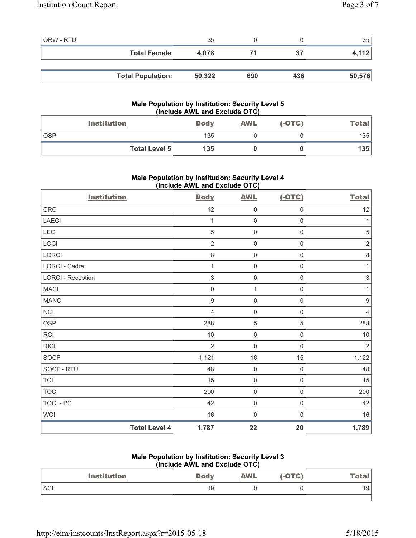| <b>ORW - RTU</b> |                          | 35     |     |     | 35     |
|------------------|--------------------------|--------|-----|-----|--------|
|                  | <b>Total Female</b>      | 4.078  |     | 37  | 4,112  |
|                  |                          |        |     |     |        |
|                  | <b>Total Population:</b> | 50,322 | 690 | 436 | 50,576 |

# **Male Population by Institution: Security Level 5 (Include AWL and Exclude OTC)**

|       | <b>Institution</b>   | <b>Body</b> | <b>AWL</b> | $(-OTC)$ | <u>Total</u> |
|-------|----------------------|-------------|------------|----------|--------------|
| . OSP |                      | 135         |            |          | 135          |
|       | <b>Total Level 5</b> | 135         |            |          | 135          |

# **Male Population by Institution: Security Level 4 (Include AWL and Exclude OTC)**

| <b>Institution</b>       |                      | <b>Body</b>    | <b>AWL</b>          | $(-OTC)$            | <b>Total</b>              |
|--------------------------|----------------------|----------------|---------------------|---------------------|---------------------------|
| ${\sf CRC}$              |                      | 12             | $\mathsf{O}\xspace$ | $\mathsf{O}\xspace$ | 12                        |
| LAECI                    |                      | 1              | $\mathsf{O}\xspace$ | $\mathsf{O}\xspace$ | 1                         |
| LECI                     |                      | $\sqrt{5}$     | $\mathsf{O}\xspace$ | $\mathsf{O}\xspace$ | $\sqrt{5}$                |
| LOCI                     |                      | $\overline{2}$ | $\mathsf{O}\xspace$ | $\mathsf{O}\xspace$ | $\sqrt{2}$                |
| LORCI                    |                      | 8              | $\mathsf{O}\xspace$ | $\mathsf{O}\xspace$ | $\,8\,$                   |
| LORCI - Cadre            |                      | 1              | $\mathsf{O}\xspace$ | 0                   | 1                         |
| <b>LORCI - Reception</b> |                      | $\sqrt{3}$     | $\mathsf{O}\xspace$ | $\mathsf{O}\xspace$ | $\ensuremath{\mathsf{3}}$ |
| <b>MACI</b>              |                      | $\mathbf 0$    | $\mathbf{1}$        | $\mathsf 0$         | 1                         |
| <b>MANCI</b>             |                      | $\mathsf g$    | $\mathbf 0$         | $\mathsf{O}\xspace$ | $\boldsymbol{9}$          |
| <b>NCI</b>               |                      | $\overline{4}$ | $\mathsf{O}\xspace$ | $\mathsf{O}\xspace$ | $\overline{4}$            |
| <b>OSP</b>               |                      | 288            | $\sqrt{5}$          | 5                   | 288                       |
| RCI                      |                      | 10             | $\mathsf{O}\xspace$ | $\mathsf{O}\xspace$ | 10                        |
| <b>RICI</b>              |                      | $\overline{2}$ | $\mathsf{O}\xspace$ | $\mathsf{O}\xspace$ | $\overline{2}$            |
| SOCF                     |                      | 1,121          | $16\,$              | 15                  | 1,122                     |
| SOCF - RTU               |                      | 48             | $\mathbf 0$         | $\mathsf 0$         | 48                        |
| <b>TCI</b>               |                      | 15             | 0                   | $\mathsf{O}\xspace$ | 15                        |
| <b>TOCI</b>              |                      | 200            | $\mathsf{O}\xspace$ | $\mathsf 0$         | 200                       |
| <b>TOCI - PC</b>         |                      | 42             | $\mathsf{O}\xspace$ | $\mathsf{O}\xspace$ | 42                        |
| WCI                      |                      | $16$           | $\mathbf 0$         | $\mathbf 0$         | $16$                      |
|                          | <b>Total Level 4</b> | 1,787          | 22                  | 20                  | 1,789                     |

#### **Male Population by Institution: Security Level 3 (Include AWL and Exclude OTC)**

| <b>Institution</b> | THURS AND AND LACIUS OT UP<br><b>Body</b> | <b>AWL</b> | (-OTC) | Total           |
|--------------------|-------------------------------------------|------------|--------|-----------------|
| <b>ACI</b>         | 19                                        |            |        | 19 <sub>1</sub> |
|                    |                                           |            |        |                 |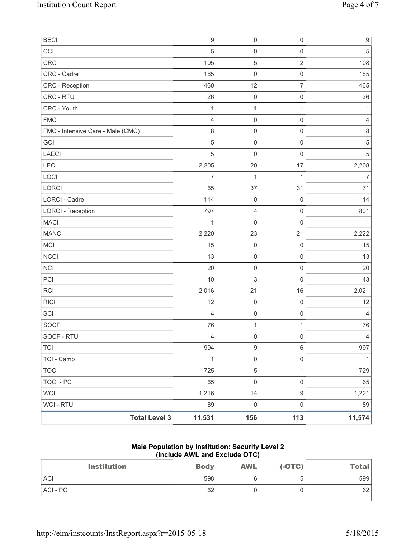| <b>BECI</b>                       | $\boldsymbol{9}$ | $\mathsf{O}\xspace$ | $\mathsf{O}\xspace$ | $\boldsymbol{9}$ |
|-----------------------------------|------------------|---------------------|---------------------|------------------|
| CCI                               | 5                | $\mathsf{O}\xspace$ | $\mathsf{O}\xspace$ | $\sqrt{5}$       |
| CRC                               | 105              | $\,$ 5 $\,$         | $\overline{2}$      | 108              |
| CRC - Cadre                       | 185              | $\mathsf{O}\xspace$ | $\mathsf 0$         | 185              |
| CRC - Reception                   | 460              | 12                  | $\overline{7}$      | 465              |
| CRC - RTU                         | 26               | $\pmb{0}$           | $\mathsf{O}\xspace$ | 26               |
| CRC - Youth                       | $\mathbf{1}$     | $\mathbf{1}$        | $\mathbf{1}$        | $\mathbf{1}$     |
| <b>FMC</b>                        | $\overline{4}$   | $\mathsf{O}\xspace$ | $\mathsf{O}\xspace$ | $\overline{4}$   |
| FMC - Intensive Care - Male (CMC) | $\,8\,$          | $\mathsf{O}\xspace$ | $\mathsf{O}\xspace$ | $\,8\,$          |
| GCI                               | $\sqrt{5}$       | $\mathsf{O}\xspace$ | $\mathsf 0$         | $\,$ 5 $\,$      |
| LAECI                             | $\sqrt{5}$       | $\mathsf{O}\xspace$ | $\mathsf{O}\xspace$ | 5                |
| LECI                              | 2,205            | 20                  | 17                  | 2,208            |
| LOCI                              | $\overline{7}$   | $\mathbf{1}$        | $\mathbf{1}$        | $\overline{7}$   |
| LORCI                             | 65               | 37                  | 31                  | 71               |
| <b>LORCI - Cadre</b>              | 114              | $\mathsf{O}\xspace$ | $\mathsf{O}\xspace$ | 114              |
| <b>LORCI - Reception</b>          | 797              | $\overline{4}$      | $\mathsf{O}\xspace$ | 801              |
| <b>MACI</b>                       | $\mathbf{1}$     | $\mathsf{O}\xspace$ | $\mathsf 0$         | $\mathbf{1}$     |
| <b>MANCI</b>                      | 2,220            | 23                  | 21                  | 2,222            |
| MCI                               | 15               | $\mathsf{O}\xspace$ | $\mathsf{O}\xspace$ | 15               |
| <b>NCCI</b>                       | 13               | $\mathsf{O}\xspace$ | $\mathsf 0$         | 13               |
| <b>NCI</b>                        | 20               | $\mathsf{O}\xspace$ | $\mathsf{O}\xspace$ | 20               |
| PCI                               | 40               | 3                   | $\mathsf{O}\xspace$ | 43               |
| <b>RCI</b>                        | 2,016            | 21                  | 16                  | 2,021            |
| <b>RICI</b>                       | 12               | $\mathsf{O}\xspace$ | $\mathsf{O}\xspace$ | 12               |
| SCI                               | $\overline{4}$   | $\mathsf{O}\xspace$ | $\mathsf 0$         | 4                |
| SOCF                              | 76               | $\mathbf 1$         | $\mathbf{1}$        | 76               |
| SOCF - RTU                        | $\overline{4}$   | $\mathsf{O}\xspace$ | $\mathsf{O}\xspace$ | $\overline{4}$   |
| <b>TCI</b>                        | 994              | $\boldsymbol{9}$    | $\,6\,$             | 997              |
| TCI - Camp                        | $\mathbf 1$      | $\mbox{O}$          | $\mathsf{O}\xspace$ | $\mathbf{1}$     |
| <b>TOCI</b>                       | 725              | $\,$ 5 $\,$         | $\mathbf{1}$        | 729              |
| <b>TOCI - PC</b>                  | 65               | $\mathsf 0$         | $\mathsf{O}\xspace$ | 65               |
| <b>WCI</b>                        | 1,216            | 14                  | $\boldsymbol{9}$    | 1,221            |
| WCI - RTU                         | 89               | $\mathsf{O}\xspace$ | $\mathsf{O}\xspace$ | 89               |
| <b>Total Level 3</b>              | 11,531           | 156                 | 113                 | 11,574           |

**Male Population by Institution: Security Level 2 (Include AWL and Exclude OTC)** 

| <b>Institution</b> | <b>Body</b> | <b>AWL</b> | $(-OTC)$ | <u>Total</u> |
|--------------------|-------------|------------|----------|--------------|
| <b>ACI</b>         | 598         |            |          | 599          |
| ACI-PC             | 62          |            |          | 62           |
|                    |             |            |          |              |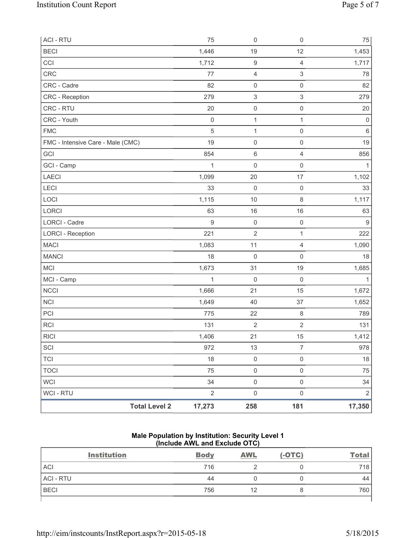| <b>Total Level 2</b>              | 17,273           | 258                       | 181                       | 17,350           |
|-----------------------------------|------------------|---------------------------|---------------------------|------------------|
| WCI - RTU                         | $\overline{2}$   | $\mathsf{O}\xspace$       | $\mathsf 0$               | $\overline{2}$   |
| <b>WCI</b>                        | 34               | $\mathsf{O}\xspace$       | $\mathsf{O}\xspace$       | 34               |
| <b>TOCI</b>                       | 75               | $\mathsf{O}\xspace$       | $\mathsf{O}\xspace$       | 75               |
| <b>TCI</b>                        | 18               | $\mathsf{O}\xspace$       | $\mathsf 0$               | 18               |
| SCI                               | 972              | 13                        | $\boldsymbol{7}$          | 978              |
| <b>RICI</b>                       | 1,406            | 21                        | 15                        | 1,412            |
| <b>RCI</b>                        | 131              | $\sqrt{2}$                | $\sqrt{2}$                | 131              |
| PCI                               | 775              | 22                        | $\,8\,$                   | 789              |
| <b>NCI</b>                        | 1,649            | 40                        | 37                        | 1,652            |
| <b>NCCI</b>                       | 1,666            | 21                        | 15                        | 1,672            |
| MCI - Camp                        | $\mathbf{1}$     | 0                         | $\mathsf{O}\xspace$       | 1                |
| <b>MCI</b>                        | 1,673            | 31                        | 19                        | 1,685            |
| <b>MANCI</b>                      | 18               | $\mathsf{O}\xspace$       | $\mathsf 0$               | 18               |
| <b>MACI</b>                       | 1,083            | 11                        | $\overline{4}$            | 1,090            |
| <b>LORCI - Reception</b>          | 221              | $\overline{2}$            | $\mathbf{1}$              | 222              |
| <b>LORCI - Cadre</b>              | $\boldsymbol{9}$ | $\mathsf{O}\xspace$       | $\mathsf 0$               | $\boldsymbol{9}$ |
| LORCI                             | 63               | 16                        | 16                        | 63               |
| LOCI                              | 1,115            | $10$                      | $\,8\,$                   | 1,117            |
| LECI                              | 33               | 0                         | $\mathsf{O}\xspace$       | 33               |
| <b>LAECI</b>                      | 1,099            | 20                        | 17                        | 1,102            |
| GCI - Camp                        | $\mathbf{1}$     | 0                         | $\mathsf{O}\xspace$       | 1                |
| GCI                               | 854              | $\,6$                     | $\overline{4}$            | 856              |
| FMC - Intensive Care - Male (CMC) | 19               | $\mathsf{O}\xspace$       | $\mathsf 0$               | 19               |
| <b>FMC</b>                        | $\sqrt{5}$       | $\mathbf{1}$              | $\mathsf{O}\xspace$       | $\,6\,$          |
| CRC - Youth                       | $\mathbf 0$      | $\mathbf 1$               | $\mathbf{1}$              | $\mathbf 0$      |
| CRC - RTU                         | 20               | $\mathsf{O}\xspace$       | $\mathsf 0$               | 20               |
| CRC - Reception                   | 279              | $\ensuremath{\mathsf{3}}$ | $\,$ 3 $\,$               | 279              |
| CRC - Cadre                       | 82               | $\mathsf 0$               | $\mathsf{O}\xspace$       | 82               |
| CRC                               | 77               | 4                         | $\ensuremath{\mathsf{3}}$ | 78               |
| CCI                               | 1,712            | $\boldsymbol{9}$          | $\overline{4}$            | 1,717            |
| <b>BECI</b>                       | 1,446            | 19                        | 12                        | 1,453            |
| <b>ACI - RTU</b>                  | 75               | $\mathsf{O}\xspace$       | $\mathsf 0$               | 75               |

## **Male Population by Institution: Security Level 1 (Include AWL and Exclude OTC)**

| <b>Institution</b> | <b>Body</b> | <b>AWL</b> | $(-OTC)$ | <u>Total</u> |
|--------------------|-------------|------------|----------|--------------|
| <b>ACI</b>         | 716         |            |          | 718          |
| <b>ACI - RTU</b>   | 44          |            |          | 44           |
| <b>BECI</b>        | 756         | 12         |          | 760          |
|                    |             |            |          |              |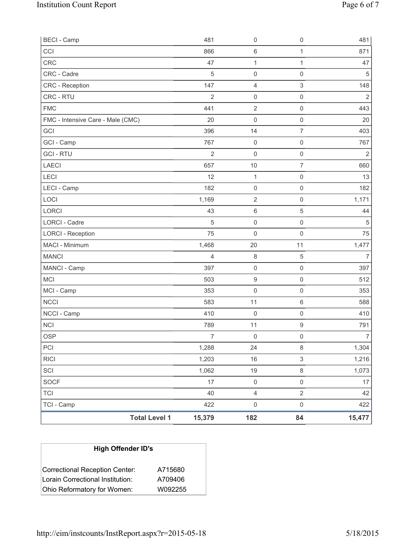| <b>BECI - Camp</b>                |                      | 481            | 0                       | $\mathsf{O}\xspace$       | 481            |
|-----------------------------------|----------------------|----------------|-------------------------|---------------------------|----------------|
| CCI                               |                      | 866            | $\,6\,$                 | 1                         | 871            |
| CRC                               |                      | 47             | 1                       | $\mathbf{1}$              | 47             |
| CRC - Cadre                       |                      | $\sqrt{5}$     | $\mathsf{O}\xspace$     | $\mathsf 0$               | 5              |
| CRC - Reception                   |                      | 147            | 4                       | $\ensuremath{\mathsf{3}}$ | 148            |
| CRC - RTU                         |                      | $\overline{2}$ | $\mathsf 0$             | $\mathsf 0$               | $\overline{2}$ |
| <b>FMC</b>                        |                      | 441            | $\overline{2}$          | $\mathsf 0$               | 443            |
| FMC - Intensive Care - Male (CMC) |                      | 20             | 0                       | $\mathsf 0$               | 20             |
| GCI                               |                      | 396            | 14                      | $\overline{7}$            | 403            |
| GCI - Camp                        |                      | 767            | $\boldsymbol{0}$        | $\mathbf 0$               | 767            |
| <b>GCI-RTU</b>                    |                      | $\overline{2}$ | $\mathsf{O}\xspace$     | $\mathsf 0$               | $\overline{2}$ |
| LAECI                             |                      | 657            | $10$                    | $\overline{7}$            | 660            |
| LECI                              |                      | 12             | $\mathbf{1}$            | $\mathsf 0$               | 13             |
| LECI - Camp                       |                      | 182            | $\mathsf 0$             | $\mathsf 0$               | 182            |
| LOCI                              |                      | 1,169          | $\mathbf 2$             | $\mathsf{O}\xspace$       | 1,171          |
| LORCI                             |                      | 43             | 6                       | 5                         | 44             |
| LORCI - Cadre                     |                      | $\sqrt{5}$     | $\mathsf 0$             | $\mathsf 0$               | $\overline{5}$ |
| <b>LORCI - Reception</b>          |                      | 75             | $\mathsf{O}\xspace$     | $\mathsf 0$               | 75             |
| MACI - Minimum                    |                      | 1,468          | 20                      | 11                        | 1,477          |
| <b>MANCI</b>                      |                      | $\overline{4}$ | $\,8\,$                 | $\sqrt{5}$                | $\overline{7}$ |
| MANCI - Camp                      |                      | 397            | $\mathsf 0$             | $\mathsf{O}\xspace$       | 397            |
| MCI                               |                      | 503            | $\boldsymbol{9}$        | $\mathsf 0$               | 512            |
| MCI - Camp                        |                      | 353            | $\mathsf 0$             | $\mathbf 0$               | 353            |
| <b>NCCI</b>                       |                      | 583            | 11                      | $\,6\,$                   | 588            |
| NCCI - Camp                       |                      | 410            | 0                       | $\mathsf{O}\xspace$       | 410            |
| <b>NCI</b>                        |                      | 789            | 11                      | $\boldsymbol{9}$          | 791            |
| <b>OSP</b>                        |                      | $\overline{7}$ | $\mathsf{O}\xspace$     | $\mathsf{O}\xspace$       | $\overline{7}$ |
| PCI                               |                      | 1,288          | 24                      | $\,8\,$                   | 1,304          |
| <b>RICI</b>                       |                      | 1,203          | $16\,$                  | $\sqrt{3}$                | 1,216          |
| SCI                               |                      | 1,062          | 19                      | $\,8\,$                   | 1,073          |
| SOCF                              |                      | 17             | $\mathsf{O}\xspace$     | $\mathsf{O}\xspace$       | 17             |
| <b>TCI</b>                        |                      | 40             | $\overline{\mathbf{4}}$ | $\overline{2}$            | 42             |
| TCI - Camp                        |                      | 422            | $\mathsf{O}\xspace$     | $\mathsf{O}\xspace$       | 422            |
|                                   | <b>Total Level 1</b> | 15,379         | 182                     | 84                        | 15,477         |

| <b>High Offender ID's</b>        |         |  |  |  |  |
|----------------------------------|---------|--|--|--|--|
| Correctional Reception Center:   | A715680 |  |  |  |  |
| Lorain Correctional Institution: | A709406 |  |  |  |  |
| Ohio Reformatory for Women:      | W092255 |  |  |  |  |